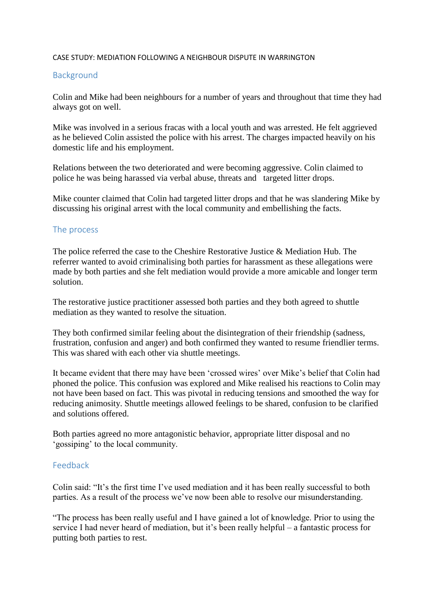## CASE STUDY: MEDIATION FOLLOWING A NEIGHBOUR DISPUTE IN WARRINGTON

## Background

Colin and Mike had been neighbours for a number of years and throughout that time they had always got on well.

Mike was involved in a serious fracas with a local youth and was arrested. He felt aggrieved as he believed Colin assisted the police with his arrest. The charges impacted heavily on his domestic life and his employment.

Relations between the two deteriorated and were becoming aggressive. Colin claimed to police he was being harassed via verbal abuse, threats and targeted litter drops.

Mike counter claimed that Colin had targeted litter drops and that he was slandering Mike by discussing his original arrest with the local community and embellishing the facts.

## The process

The police referred the case to the Cheshire Restorative Justice & Mediation Hub. The referrer wanted to avoid criminalising both parties for harassment as these allegations were made by both parties and she felt mediation would provide a more amicable and longer term solution.

The restorative justice practitioner assessed both parties and they both agreed to shuttle mediation as they wanted to resolve the situation.

They both confirmed similar feeling about the disintegration of their friendship (sadness, frustration, confusion and anger) and both confirmed they wanted to resume friendlier terms. This was shared with each other via shuttle meetings.

It became evident that there may have been 'crossed wires' over Mike's belief that Colin had phoned the police. This confusion was explored and Mike realised his reactions to Colin may not have been based on fact. This was pivotal in reducing tensions and smoothed the way for reducing animosity. Shuttle meetings allowed feelings to be shared, confusion to be clarified and solutions offered.

Both parties agreed no more antagonistic behavior, appropriate litter disposal and no 'gossiping' to the local community.

## Feedback

Colin said: "It's the first time I've used mediation and it has been really successful to both parties. As a result of the process we've now been able to resolve our misunderstanding.

"The process has been really useful and I have gained a lot of knowledge. Prior to using the service I had never heard of mediation, but it's been really helpful – a fantastic process for putting both parties to rest.